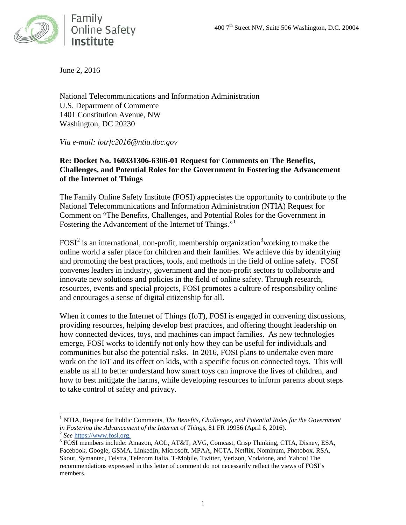

June 2, 2016

National Telecommunications and Information Administration U.S. Department of Commerce 1401 Constitution Avenue, NW Washington, DC 20230

*Via e-mail: iotrfc2016@ntia.doc.gov*

#### **Re: Docket No. 160331306-6306-01 Request for Comments on The Benefits, Challenges, and Potential Roles for the Government in Fostering the Advancement of the Internet of Things**

The Family Online Safety Institute (FOSI) appreciates the opportunity to contribute to the National Telecommunications and Information Administration (NTIA) Request for Comment on "The Benefits, Challenges, and Potential Roles for the Government in Fostering the Advancement of the Internet of Things."

FOSI<sup>[2](#page-0-1)</sup> is an international, non-profit, membership organization<sup>[3](#page-0-2)</sup> working to make the online world a safer place for children and their families. We achieve this by identifying and promoting the best practices, tools, and methods in the field of online safety. FOSI convenes leaders in industry, government and the non-profit sectors to collaborate and innovate new solutions and policies in the field of online safety. Through research, resources, events and special projects, FOSI promotes a culture of responsibility online and encourages a sense of digital citizenship for all.

When it comes to the Internet of Things (IoT), FOSI is engaged in convening discussions, providing resources, helping develop best practices, and offering thought leadership on how connected devices, toys, and machines can impact families. As new technologies emerge, FOSI works to identify not only how they can be useful for individuals and communities but also the potential risks. In 2016, FOSI plans to undertake even more work on the IoT and its effect on kids, with a specific focus on connected toys. This will enable us all to better understand how smart toys can improve the lives of children, and how to best mitigate the harms, while developing resources to inform parents about steps to take control of safety and privacy.

<span id="page-0-0"></span><sup>1</sup> NTIA, Request for Public Comments, *The Benefits, Challenges, and Potential Roles for the Government in Fostering the Advancement of the Internet of Things*, 81 FR 19956 (April 6, 2016).<br>
<sup>2</sup> *See* [https://www.fosi.org.](https://www.fosi.org/)<br>
<sup>3</sup> FOSI members include: Amazon, AOL, AT&T, AVG, Comcast, Crisp Thinking, CTIA, Disney, ESA,

<span id="page-0-1"></span>

<span id="page-0-2"></span>Facebook, Google, GSMA, LinkedIn, Microsoft, MPAA, NCTA, Netflix, Nominum, Photobox, RSA, Skout, Symantec, Telstra, Telecom Italia, T-Mobile, Twitter, Verizon, Vodafone, and Yahoo! The recommendations expressed in this letter of comment do not necessarily reflect the views of FOSI's members.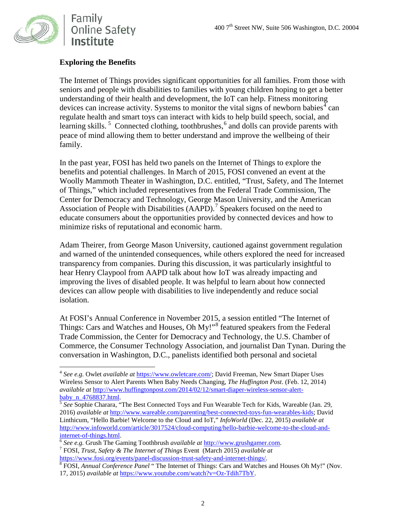

### **Exploring the Benefits**

The Internet of Things provides significant opportunities for all families. From those with seniors and people with disabilities to families with young children hoping to get a better understanding of their health and development, the IoT can help. Fitness monitoring devices can increase activity. Systems to monitor the vital signs of newborn babies<sup>[4](#page-1-0)</sup> can regulate health and smart toys can interact with kids to help build speech, social, and learning skills.<sup>[5](#page-1-1)</sup> Connected clothing, toothbrushes,<sup>[6](#page-1-2)</sup> and dolls can provide parents with peace of mind allowing them to better understand and improve the wellbeing of their family.

In the past year, FOSI has held two panels on the Internet of Things to explore the benefits and potential challenges. In March of 2015, FOSI convened an event at the Woolly Mammoth Theater in Washington, D.C. entitled, "Trust, Safety, and The Internet of Things," which included representatives from the Federal Trade Commission, The Center for Democracy and Technology, George Mason University, and the American Association of People with Disabilities (AAPD).<sup>[7](#page-1-3)</sup> Speakers focused on the need to educate consumers about the opportunities provided by connected devices and how to minimize risks of reputational and economic harm.

Adam Theirer, from George Mason University, cautioned against government regulation and warned of the unintended consequences, while others explored the need for increased transparency from companies. During this discussion, it was particularly insightful to hear Henry Claypool from AAPD talk about how IoT was already impacting and improving the lives of disabled people. It was helpful to learn about how connected devices can allow people with disabilities to live independently and reduce social isolation.

At FOSI's Annual Conference in November 2015, a session entitled "The Internet of Things: Cars and Watches and Houses, Oh My!"<sup>[8](#page-1-4)</sup> featured speakers from the Federal Trade Commission, the Center for Democracy and Technology, the U.S. Chamber of Commerce, the Consumer Technology Association, and journalist Dan Tynan. During the conversation in Washington, D.C., panelists identified both personal and societal

<span id="page-1-0"></span><sup>4</sup> *See e.g.* Owlet *available at* [https://www.owletcare.com/;](https://www.owletcare.com/) David Freeman, New Smart Diaper Uses Wireless Sensor to Alert Parents When Baby Needs Changing, *The Huffington Post*. (Feb. 12, 2014) *available at* [http://www.huffingtonpost.com/2014/02/12/smart-diaper-wireless-sensor-alert-](http://www.huffingtonpost.com/2014/02/12/smart-diaper-wireless-sensor-alert-baby_n_4768837.html)

<span id="page-1-1"></span><sup>&</sup>lt;sup>5</sup> See Sophie Charara, "The Best Connected Toys and Fun Wearable Tech for Kids, Wareable (Jan. 29, 2016) *available at* [http://www.wareable.com/parenting/best-connected-toys-fun-wearables-kids;](http://www.wareable.com/parenting/best-connected-toys-fun-wearables-kids) David Linthicum, "Hello Barbie! Welcome to the Cloud and IoT," *InfoWorld* (Dec. 22, 2015) *available at* [http://www.infoworld.com/article/3017524/cloud-computing/hello-barbie-welcome-to-the-cloud-and](http://www.infoworld.com/article/3017524/cloud-computing/hello-barbie-welcome-to-the-cloud-and-internet-of-things.html)[internet-of-things.html.](http://www.infoworld.com/article/3017524/cloud-computing/hello-barbie-welcome-to-the-cloud-and-internet-of-things.html) [6](http://www.infoworld.com/article/3017524/cloud-computing/hello-barbie-welcome-to-the-cloud-and-internet-of-things.html) *See e.g.* Grush The Gaming Toothbrush *available at* [http://www.grushgamer.com.](http://www.grushgamer.com/) 7 FOSI, *Trust, Safety & The Internet of Things* Event (March 2015) *available at* 

<span id="page-1-2"></span>

<span id="page-1-3"></span>[https://www.fosi.org/events/panel-discussion-trust-safety-and-internet-things/.](https://www.fosi.org/events/panel-discussion-trust-safety-and-internet-things/) [8](https://www.fosi.org/events/panel-discussion-trust-safety-and-internet-things/) FOSI, *Annual Conference Panel* " The Internet of Things: Cars and Watches and Houses Oh My!" (Nov.

<span id="page-1-4"></span><sup>17, 2015)</sup> *available at* [https://www.youtube.com/watch?v=Oz-Tdih7TbY.](https://www.youtube.com/watch?v=Oz-Tdih7TbY)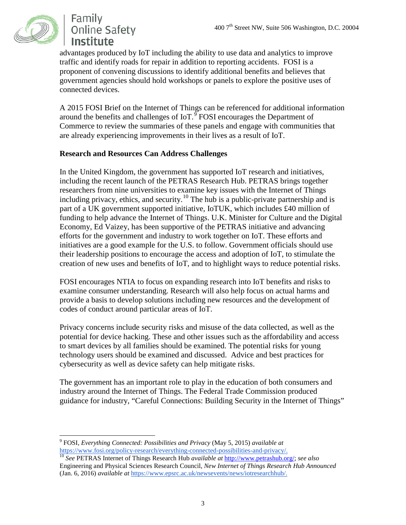

Family **Online Safety** Institute

advantages produced by IoT including the ability to use data and analytics to improve traffic and identify roads for repair in addition to reporting accidents. FOSI is a proponent of convening discussions to identify additional benefits and believes that government agencies should hold workshops or panels to explore the positive uses of connected devices.

A 2015 FOSI Brief on the Internet of Things can be referenced for additional information around the benefits and challenges of  $I \circ T$ .<sup>[9](#page-2-0)</sup> FOSI encourages the Department of Commerce to review the summaries of these panels and engage with communities that are already experiencing improvements in their lives as a result of IoT.

### **Research and Resources Can Address Challenges**

In the United Kingdom, the government has supported IoT research and initiatives, including the recent launch of the PETRAS Research Hub. PETRAS brings together researchers from nine universities to examine key issues with the Internet of Things including privacy, ethics, and security.<sup>[10](#page-2-1)</sup> The hub is a public-private partnership and is part of a UK government supported initiative, IoTUK, which includes £40 million of funding to help advance the Internet of Things. U.K. Minister for Culture and the Digital Economy, Ed Vaizey, has been supportive of the PETRAS initiative and advancing efforts for the government and industry to work together on IoT. These efforts and initiatives are a good example for the U.S. to follow. Government officials should use their leadership positions to encourage the access and adoption of IoT, to stimulate the creation of new uses and benefits of IoT, and to highlight ways to reduce potential risks.

FOSI encourages NTIA to focus on expanding research into IoT benefits and risks to examine consumer understanding. Research will also help focus on actual harms and provide a basis to develop solutions including new resources and the development of codes of conduct around particular areas of IoT.

Privacy concerns include security risks and misuse of the data collected, as well as the potential for device hacking. These and other issues such as the affordability and access to smart devices by all families should be examined. The potential risks for young technology users should be examined and discussed. Advice and best practices for cybersecurity as well as device safety can help mitigate risks.

The government has an important role to play in the education of both consumers and industry around the Internet of Things. The Federal Trade Commission produced guidance for industry, "Careful Connections: Building Security in the Internet of Things"

<span id="page-2-0"></span><sup>9</sup> FOSI, *Everything Connected: Possibilities and Privacy* (May 5, 2015) *available at*

<span id="page-2-1"></span><sup>&</sup>lt;sup>[10](https://www.fosi.org/policy-research/everything-connected-possibilities-and-privacy/)</sup> See PETRAS Internet of Things Research Hub *available at* [http://www.petrashub.org/;](http://www.petrashub.org/) *see also* Engineering and Physical Sciences Research Council, *New Internet of Things Research Hub Announced* (Jan. 6, 2016) *available at* [https://www.epsrc.ac.uk/newsevents/news/iotresearchhub/.](https://www.epsrc.ac.uk/newsevents/news/iotresearchhub/)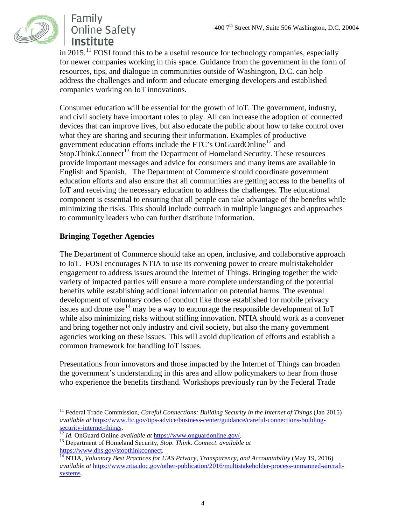

# Family **Online Safety** Institute

in 2015.<sup>[11](#page-3-0)</sup> FOSI found this to be a useful resource for technology companies, especially for newer companies working in this space. Guidance from the government in the form of resources, tips, and dialogue in communities outside of Washington, D.C. can help address the challenges and inform and educate emerging developers and established companies working on IoT innovations.

Consumer education will be essential for the growth of IoT. The government, industry, and civil society have important roles to play. All can increase the adoption of connected devices that can improve lives, but also educate the public about how to take control over what they are sharing and securing their information. Examples of productive government education efforts include the FTC's OnGuardOnline<sup>[12](#page-3-1)</sup> and  $Stop. Think. Connect<sup>13</sup> from the Department of Homeland Security. These resources$  $Stop. Think. Connect<sup>13</sup> from the Department of Homeland Security. These resources$  $Stop. Think. Connect<sup>13</sup> from the Department of Homeland Security. These resources$ provide important messages and advice for consumers and many items are available in English and Spanish. The Department of Commerce should coordinate government education efforts and also ensure that all communities are getting access to the benefits of IoT and receiving the necessary education to address the challenges. The educational component is essential to ensuring that all people can take advantage of the benefits while minimizing the risks. This should include outreach in multiple languages and approaches to community leaders who can further distribute information.

### **Bringing Together Agencies**

The Department of Commerce should take an open, inclusive, and collaborative approach to IoT. FOSI encourages NTIA to use its convening power to create multistakeholder engagement to address issues around the Internet of Things. Bringing together the wide variety of impacted parties will ensure a more complete understanding of the potential benefits while establishing additional information on potential harms. The eventual development of voluntary codes of conduct like those established for mobile privacy issues and drone use  $14$  may be a way to encourage the responsible development of IoT while also minimizing risks without stifling innovation. NTIA should work as a convener and bring together not only industry and civil society, but also the many government agencies working on these issues. This will avoid duplication of efforts and establish a common framework for handling IoT issues.

Presentations from innovators and those impacted by the Internet of Things can broaden the government's understanding in this area and allow policymakers to hear from those who experience the benefits firsthand. Workshops previously run by the Federal Trade

<span id="page-3-0"></span><sup>&</sup>lt;sup>11</sup> Federal Trade Commission, *Careful Connections: Building Security in the Internet of Things* (Jan 2015) *available at* [https://www.ftc.gov/tips-advice/business-center/guidance/careful-connections-building](https://www.ftc.gov/tips-advice/business-center/guidance/careful-connections-building-security-internet-things)[security-internet-things. 12](https://www.ftc.gov/tips-advice/business-center/guidance/careful-connections-building-security-internet-things) *Id.* OnGuard Online *available at* [https://www.onguardonline.gov/.](https://www.onguardonline.gov/) 13 Department of Homeland Security, *Stop. Think. Connect*. *available at*

<span id="page-3-1"></span>

<span id="page-3-3"></span><span id="page-3-2"></span>https://www.dhs.gov/stopthinkconnect.<br><sup>14</sup> NTIA, *Voluntary Best Practices for UAS Privacy, Transparency, and Accountability* (May 19, 2016) *available at* [https://www.ntia.doc.gov/other-publication/2016/multistakeholder-process-unmanned-aircraft](https://www.ntia.doc.gov/other-publication/2016/multistakeholder-process-unmanned-aircraft-systems)[systems.](https://www.ntia.doc.gov/other-publication/2016/multistakeholder-process-unmanned-aircraft-systems)